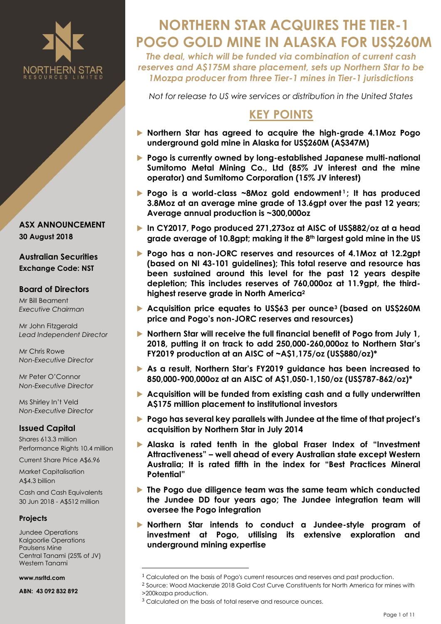

**ASX ANNOUNCEMENT 30 August 2018**

**Australian Securities Exchange Code: NST**

#### **Board of Directors**

Mr Bill Beament *Executive Chairman*

Mr John Fitzgerald *Lead Independent Director*

Mr Chris Rowe *Non-Executive Director*

Mr Peter O'Connor *Non-Executive Director*

Ms Shirley In't Veld *Non-Executive Director*

# **Issued Capital**

Shares 613.3 million Performance Rights 10.4 million

Current Share Price A\$6.96

Market Capitalisation A\$4.3 billion

Cash and Cash Equivalents 30 Jun 2018 - A\$512 million

## **Projects**

Jundee Operations Kalgoorlie Operations Paulsens Mine Central Tanami (25% of JV) Western Tanami

 $\overline{\phantom{a}}$ 

**www.nsrltd.com**

**ABN: 43 092 832 892**

# **NORTHERN STAR ACQUIRES THE TIER-1 POGO GOLD MINE IN ALASKA FOR US\$260M**

*The deal, which will be funded via combination of current cash reserves and A\$175M share placement, sets up Northern Star to be 1Mozpa producer from three Tier-1 mines in Tier-1 jurisdictions* 

*Not for release to US wire services or distribution in the United States*

# **KEY POINTS**

- **Northern Star has agreed to acquire the high-grade 4.1Moz Pogo underground gold mine in Alaska for US\$260M (A\$347M)**
- **Pogo is currently owned by long-established Japanese multi-national Sumitomo Metal Mining Co., Ltd (85% JV interest and the mine operator) and Sumitomo Corporation (15% JV interest)**
- **Pogo is a world-class ~8Moz gold endowment<sup>1</sup>; It has produced 3.8Moz at an average mine grade of 13.6gpt over the past 12 years; Average annual production is ~300,000oz**
- **In CY2017, Pogo produced 271,273oz at AISC of US\$882/oz at a head grade average of 10.8gpt; making it the 8th largest gold mine in the US**
- **Pogo has a non-JORC reserves and resources of 4.1Moz at 12.2gpt (based on NI 43-101 guidelines); This total reserve and resource has been sustained around this level for the past 12 years despite depletion; This includes reserves of 760,000oz at 11.9gpt, the thirdhighest reserve grade in North America<sup>2</sup>**
- **Acquisition price equates to US\$63 per ounce<sup>3</sup> (based on US\$260M price and Pogo's non-JORC reserves and resources)**
- **Northern Star will receive the full financial benefit of Pogo from July 1, 2018, putting it on track to add 250,000-260,000oz to Northern Star's FY2019 production at an AISC of ~A\$1,175/oz (US\$880/oz)\***
- **As a result, Northern Star's FY2019 guidance has been increased to 850,000-900,000oz at an AISC of A\$1,050-1,150/oz (US\$787-862/oz)\***
- **Acquisition will be funded from existing cash and a fully underwritten A\$175 million placement to institutional investors**
- **Pogo has several key parallels with Jundee at the time of that project's acquisition by Northern Star in July 2014**
- **Alaska is rated tenth in the global Fraser Index of "Investment Attractiveness" – well ahead of every Australian state except Western Australia; It is rated fifth in the index for "Best Practices Mineral Potential"**
- **The Pogo due diligence team was the same team which conducted the Jundee DD four years ago; The Jundee integration team will oversee the Pogo integration**
- **Northern Star intends to conduct a Jundee-style program of investment at Pogo, utilising its extensive exploration and underground mining expertise**

<sup>&</sup>lt;sup>1</sup> Calculated on the basis of Pogo's current resources and reserves and past production.

<sup>2</sup> Source: Wood Mackenzie 2018 Gold Cost Curve Constituents for North America for mines with >200kozpa production.

<sup>3</sup> Calculated on the basis of total reserve and resource ounces.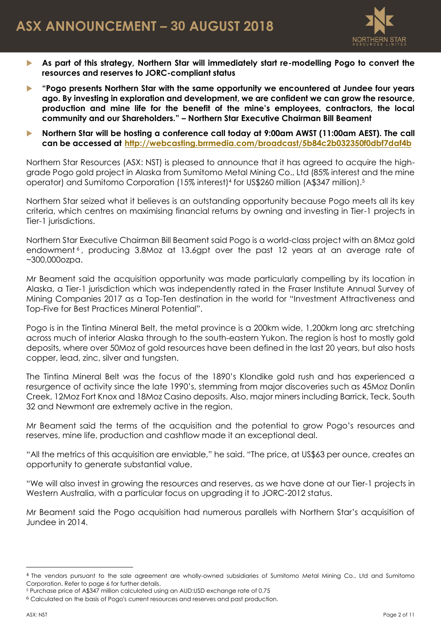

- **As part of this strategy, Northern Star will immediately start re-modelling Pogo to convert the resources and reserves to JORC-compliant status**
- **"Pogo presents Northern Star with the same opportunity we encountered at Jundee four years ago. By investing in exploration and development, we are confident we can grow the resource, production and mine life for the benefit of the mine's employees, contractors, the local community and our Shareholders." – Northern Star Executive Chairman Bill Beament**
- **Northern Star will be hosting a conference call today at 9:00am AWST (11:00am AEST). The call can be accessed at <http://webcasting.brrmedia.com/broadcast/5b84c2b032350f0dbf7daf4b>**

Northern Star Resources (ASX: NST) is pleased to announce that it has agreed to acquire the highgrade Pogo gold project in Alaska from Sumitomo Metal Mining Co., Ltd (85% interest and the mine operator) and Sumitomo Corporation (15% interest)<sup>4</sup> for US\$260 million (A\$347 million).<sup>5</sup>

Northern Star seized what it believes is an outstanding opportunity because Pogo meets all its key criteria, which centres on maximising financial returns by owning and investing in Tier-1 projects in Tier-1 jurisdictions.

Northern Star Executive Chairman Bill Beament said Pogo is a world-class project with an 8Moz gold endowment <sup>6</sup> , producing 3.8Moz at 13.6gpt over the past 12 years at an average rate of ~300,000ozpa.

Mr Beament said the acquisition opportunity was made particularly compelling by its location in Alaska, a Tier-1 jurisdiction which was independently rated in the Fraser Institute Annual Survey of Mining Companies 2017 as a Top-Ten destination in the world for "Investment Attractiveness and Top-Five for Best Practices Mineral Potential".

Pogo is in the Tintina Mineral Belt, the metal province is a 200km wide, 1,200km long arc stretching across much of interior Alaska through to the south-eastern Yukon. The region is host to mostly gold deposits, where over 50Moz of gold resources have been defined in the last 20 years, but also hosts copper, lead, zinc, silver and tungsten.

The Tintina Mineral Belt was the focus of the 1890's Klondike gold rush and has experienced a resurgence of activity since the late 1990's, stemming from major discoveries such as 45Moz Donlin Creek, 12Moz Fort Knox and 18Moz Casino deposits. Also, major miners including Barrick, Teck, South 32 and Newmont are extremely active in the region.

Mr Beament said the terms of the acquisition and the potential to grow Pogo's resources and reserves, mine life, production and cashflow made it an exceptional deal.

"All the metrics of this acquisition are enviable," he said. "The price, at US\$63 per ounce, creates an opportunity to generate substantial value.

"We will also invest in growing the resources and reserves, as we have done at our Tier-1 projects in Western Australia, with a particular focus on upgrading it to JORC-2012 status.

Mr Beament said the Pogo acquisition had numerous parallels with Northern Star's acquisition of Jundee in 2014.

 $\overline{\phantom{a}}$ 

<sup>4</sup> The vendors pursuant to the sale agreement are wholly-owned subsidiaries of Sumitomo Metal Mining Co., Ltd and Sumitomo Corporation. Refer to page 6 for further details.

<sup>5</sup> Purchase price of A\$347 million calculated using an AUD:USD exchange rate of 0.75

<sup>6</sup> Calculated on the basis of Pogo's current resources and reserves and past production.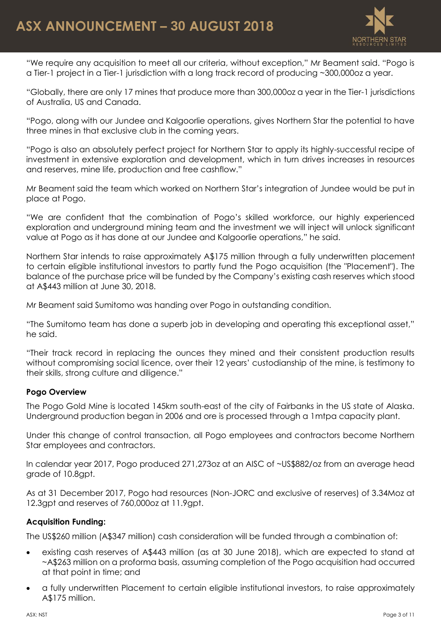

"We require any acquisition to meet all our criteria, without exception," Mr Beament said. "Pogo is a Tier-1 project in a Tier-1 jurisdiction with a long track record of producing ~300,000oz a year.

"Globally, there are only 17 mines that produce more than 300,000oz a year in the Tier-1 jurisdictions of Australia, US and Canada.

"Pogo, along with our Jundee and Kalgoorlie operations, gives Northern Star the potential to have three mines in that exclusive club in the coming years.

"Pogo is also an absolutely perfect project for Northern Star to apply its highly-successful recipe of investment in extensive exploration and development, which in turn drives increases in resources and reserves, mine life, production and free cashflow."

Mr Beament said the team which worked on Northern Star's integration of Jundee would be put in place at Pogo.

"We are confident that the combination of Pogo's skilled workforce, our highly experienced exploration and underground mining team and the investment we will inject will unlock significant value at Pogo as it has done at our Jundee and Kalgoorlie operations," he said.

Northern Star intends to raise approximately A\$175 million through a fully underwritten placement to certain eligible institutional investors to partly fund the Pogo acquisition (the "Placement"). The balance of the purchase price will be funded by the Company's existing cash reserves which stood at A\$443 million at June 30, 2018.

Mr Beament said Sumitomo was handing over Pogo in outstanding condition.

"The Sumitomo team has done a superb job in developing and operating this exceptional asset," he said.

"Their track record in replacing the ounces they mined and their consistent production results without compromising social licence, over their 12 years' custodianship of the mine, is testimony to their skills, strong culture and diligence."

## **Pogo Overview**

The Pogo Gold Mine is located 145km south-east of the city of Fairbanks in the US state of Alaska. Underground production began in 2006 and ore is processed through a 1mtpa capacity plant.

Under this change of control transaction, all Pogo employees and contractors become Northern Star employees and contractors.

In calendar year 2017, Pogo produced 271,273oz at an AISC of ~US\$882/oz from an average head grade of 10.8gpt.

As at 31 December 2017, Pogo had resources (Non-JORC and exclusive of reserves) of 3.34Moz at 12.3gpt and reserves of 760,000oz at 11.9gpt.

## **Acquisition Funding:**

The US\$260 million (A\$347 million) cash consideration will be funded through a combination of:

- existing cash reserves of A\$443 million (as at 30 June 2018), which are expected to stand at ~A\$263 million on a proforma basis, assuming completion of the Pogo acquisition had occurred at that point in time; and
- a fully underwritten Placement to certain eligible institutional investors, to raise approximately A\$175 million.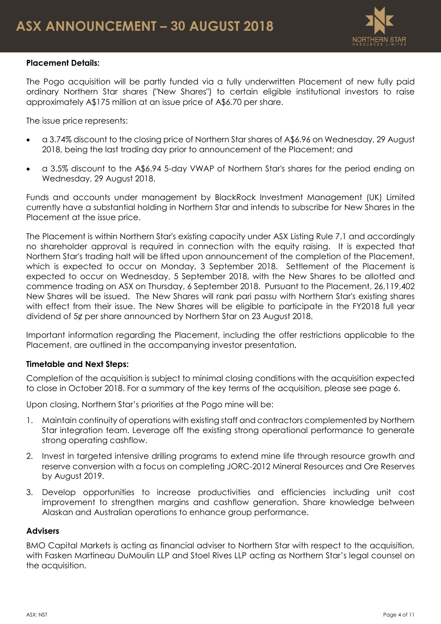

# **Placement Details:**

The Pogo acquisition will be partly funded via a fully underwritten Placement of new fully paid ordinary Northern Star shares ("New Shares") to certain eligible institutional investors to raise approximately A\$175 million at an issue price of A\$6.70 per share.

The issue price represents:

- a 3.74% discount to the closing price of Northern Star shares of A\$6.96 on Wednesday, 29 August 2018, being the last trading day prior to announcement of the Placement; and
- a 3.5% discount to the A\$6.94 5-day VWAP of Northern Star's shares for the period ending on Wednesday, 29 August 2018.

Funds and accounts under management by BlackRock Investment Management (UK) Limited currently have a substantial holding in Northern Star and intends to subscribe for New Shares in the Placement at the issue price.

The Placement is within Northern Star's existing capacity under ASX Listing Rule 7.1 and accordingly no shareholder approval is required in connection with the equity raising. It is expected that Northern Star's trading halt will be lifted upon announcement of the completion of the Placement, which is expected to occur on Monday, 3 September 2018. Settlement of the Placement is expected to occur on Wednesday, 5 September 2018, with the New Shares to be allotted and commence trading on ASX on Thursday, 6 September 2018. Pursuant to the Placement, 26,119,402 New Shares will be issued. The New Shares will rank pari passu with Northern Star's existing shares with effect from their issue. The New Shares will be eligible to participate in the FY2018 full year dividend of 5¢ per share announced by Northern Star on 23 August 2018.

Important information regarding the Placement, including the offer restrictions applicable to the Placement, are outlined in the accompanying investor presentation.

## **Timetable and Next Steps:**

Completion of the acquisition is subject to minimal closing conditions with the acquisition expected to close in October 2018. For a summary of the key terms of the acquisition, please see page [6.](#page-5-0)

Upon closing, Northern Star's priorities at the Pogo mine will be:

- 1. Maintain continuity of operations with existing staff and contractors complemented by Northern Star integration team. Leverage off the existing strong operational performance to generate strong operating cashflow.
- 2. Invest in targeted intensive drilling programs to extend mine life through resource growth and reserve conversion with a focus on completing JORC-2012 Mineral Resources and Ore Reserves by August 2019.
- 3. Develop opportunities to increase productivities and efficiencies including unit cost improvement to strengthen margins and cashflow generation. Share knowledge between Alaskan and Australian operations to enhance group performance.

## **Advisers**

BMO Capital Markets is acting as financial adviser to Northern Star with respect to the acquisition, with Fasken Martineau DuMoulin LLP and Stoel Rives LLP acting as Northern Star's legal counsel on the acquisition.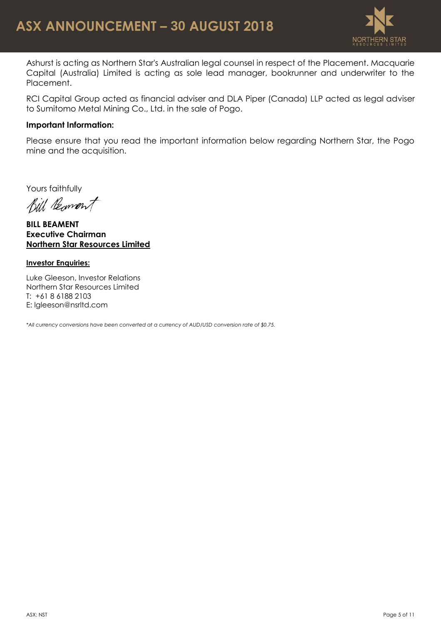

Ashurst is acting as Northern Star's Australian legal counsel in respect of the Placement. Macquarie Capital (Australia) Limited is acting as sole lead manager, bookrunner and underwriter to the Placement.

RCI Capital Group acted as financial adviser and DLA Piper (Canada) LLP acted as legal adviser to Sumitomo Metal Mining Co., Ltd. in the sale of Pogo.

#### **Important Information:**

Please ensure that you read the important information below regarding Northern Star, the Pogo mine and the acquisition.

Yours faithfully

Bill Beament

**BILL BEAMENT Executive Chairman Northern Star Resources Limited**

#### **Investor Enquiries:**

Luke Gleeson, Investor Relations Northern Star Resources Limited T: +61 8 6188 2103 E: lgleeson@nsrltd.com

*\*All currency conversions have been converted at a currency of AUD/USD conversion rate of \$0.75.*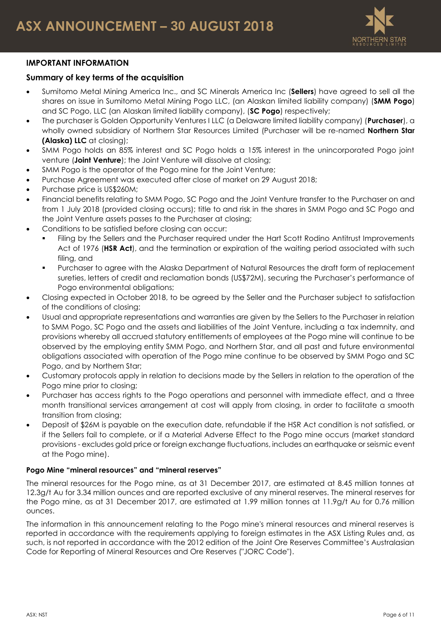

# **IMPORTANT INFORMATION**

# <span id="page-5-0"></span>**Summary of key terms of the acquisition**

- Sumitomo Metal Mining America Inc., and SC Minerals America Inc (**Sellers**) have agreed to sell all the shares on issue in Sumitomo Metal Mining Pogo LLC, (an Alaskan limited liability company) (**SMM Pogo**) and SC Pogo, LLC (an Alaskan limited liability company), (**SC Pogo**) respectively;
- The purchaser is Golden Opportunity Ventures I LLC (a Delaware limited liability company) (**Purchaser**), a wholly owned subsidiary of Northern Star Resources Limited (Purchaser will be re-named **Northern Star (Alaska) LLC** at closing);
- SMM Pogo holds an 85% interest and SC Pogo holds a 15% interest in the unincorporated Pogo joint venture (**Joint Venture**); the Joint Venture will dissolve at closing;
- SMM Pogo is the operator of the Pogo mine for the Joint Venture;
- Purchase Agreement was executed after close of market on 29 August 2018;
- Purchase price is US\$260M;
- Financial benefits relating to SMM Pogo, SC Pogo and the Joint Venture transfer to the Purchaser on and from 1 July 2018 (provided closing occurs); title to and risk in the shares in SMM Pogo and SC Pogo and the Joint Venture assets passes to the Purchaser at closing;
- Conditions to be satisfied before closing can occur:
	- Filing by the Sellers and the Purchaser required under the Hart Scott Rodino Antitrust Improvements Act of 1976 (**HSR Act**), and the termination or expiration of the waiting period associated with such filing, and
	- Purchaser to agree with the Alaska Department of Natural Resources the draft form of replacement sureties, letters of credit and reclamation bonds (US\$72M), securing the Purchaser's performance of Pogo environmental obligations;
- Closing expected in October 2018, to be agreed by the Seller and the Purchaser subject to satisfaction of the conditions of closing;
- Usual and appropriate representations and warranties are given by the Sellers to the Purchaser in relation to SMM Pogo, SC Pogo and the assets and liabilities of the Joint Venture, including a tax indemnity, and provisions whereby all accrued statutory entitlements of employees at the Pogo mine will continue to be observed by the employing entity SMM Pogo, and Northern Star, and all past and future environmental obligations associated with operation of the Pogo mine continue to be observed by SMM Pogo and SC Pogo, and by Northern Star;
- Customary protocols apply in relation to decisions made by the Sellers in relation to the operation of the Pogo mine prior to closing;
- Purchaser has access rights to the Pogo operations and personnel with immediate effect, and a three month transitional services arrangement at cost will apply from closing, in order to facilitate a smooth transition from closing;
- Deposit of \$26M is payable on the execution date, refundable if the HSR Act condition is not satisfied, or if the Sellers fail to complete, or if a Material Adverse Effect to the Pogo mine occurs (market standard provisions - excludes gold price or foreign exchange fluctuations, includes an earthquake or seismic event at the Pogo mine).

#### **Pogo Mine "mineral resources" and "mineral reserves"**

The mineral resources for the Pogo mine, as at 31 December 2017, are estimated at 8.45 million tonnes at 12.3g/t Au for 3.34 million ounces and are reported exclusive of any mineral reserves. The mineral reserves for the Pogo mine, as at 31 December 2017, are estimated at 1.99 million tonnes at 11.9g/t Au for 0.76 million ounces.

The information in this announcement relating to the Pogo mine's mineral resources and mineral reserves is reported in accordance with the requirements applying to foreign estimates in the ASX Listing Rules and, as such, is not reported in accordance with the 2012 edition of the Joint Ore Reserves Committee's Australasian Code for Reporting of Mineral Resources and Ore Reserves ("JORC Code").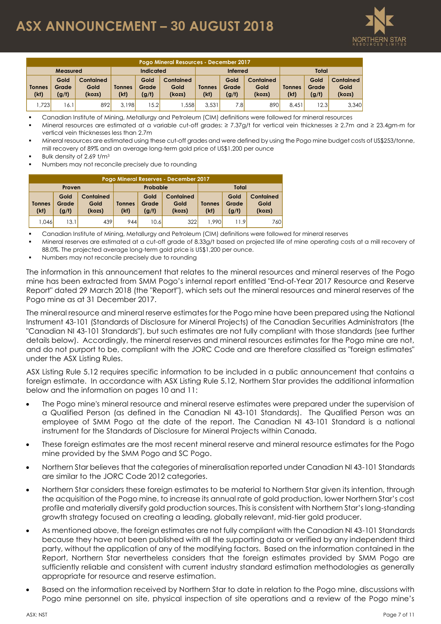# **ASX ANNOUNCEMENT – 30 AUGUST 2018**



| Pogo Mineral Resources - December 2017 |                        |                             |                |                        |                                    |                       |                        |                                    |                       |                        |                             |
|----------------------------------------|------------------------|-----------------------------|----------------|------------------------|------------------------------------|-----------------------|------------------------|------------------------------------|-----------------------|------------------------|-----------------------------|
| Measured                               |                        |                             | Indicated      |                        |                                    | <b>Inferred</b>       |                        |                                    | Total                 |                        |                             |
| <b>Tonnes</b><br>(kt)                  | Gold<br>Grade<br>(g/t) | Contained<br>Gold<br>(kozs) | Tonnes<br>(kt) | Gold<br>Grade<br>(g/t) | <b>Contained</b><br>Gold<br>(kozs) | <b>Tonnes</b><br>(kt) | Gold<br>Grade<br>(g/t) | <b>Contained</b><br>Gold<br>(kozs) | <b>Tonnes</b><br>(kt) | Gold<br>Grade<br>(g/t) | Contained<br>Gold<br>(kozs) |
| .723                                   | 16.1                   | 892                         | 3.198          | 15.21                  | .558                               | 3.531                 | 7.81                   | 890                                | 8.451                 | 12.3                   | 3,340                       |

Canadian Institute of Mining, Metallurgy and Petroleum (CIM) definitions were followed for mineral resources

- Mineral resources are estimated at a variable cut-off grades: ≥ 7.37g/t for vertical vein thicknesses ≥ 2.7m and ≥ 23.4gm-m for vertical vein thicknesses less than 2.7m
- Mineral resources are estimated using these cut-off grades and were defined by using the Pogo mine budget costs of US\$253/tonne, mill recovery of 89% and an average long-term gold price of US\$1,200 per ounce
- Bulk density of 2.69 t/m<sup>3</sup>
- Numbers may not reconcile precisely due to rounding

| Pogo Mineral Reserves - December 2017 |                        |                                    |                      |                        |                             |                       |                        |                                    |  |
|---------------------------------------|------------------------|------------------------------------|----------------------|------------------------|-----------------------------|-----------------------|------------------------|------------------------------------|--|
|                                       | Proven                 |                                    |                      | Probable               |                             | Total                 |                        |                                    |  |
| <b>Tonnes</b><br>(kt)                 | Gold<br>Grade<br>(g/t) | <b>Contained</b><br>Gold<br>(kozs) | <b>Tonnes</b><br>(k) | Gold<br>Grade<br>(g/t) | Contained<br>Gold<br>(kozs) | <b>Tonnes</b><br>(kt) | Gold<br>Grade<br>(g/t) | <b>Contained</b><br>Gold<br>(kozs) |  |
| 1.046                                 | 13.1                   | 439'                               | 944                  | 10.6                   | 322                         | 1.990                 | 11.9                   | 760                                |  |

Canadian Institute of Mining, Metallurgy and Petroleum (CIM) definitions were followed for mineral reserves

- Mineral reserves are estimated at a cut-off grade of 8.33g/t based on projected life of mine operating costs at a mill recovery of 88.0%. The projected average long-term gold price is US\$1,200 per ounce.
- Numbers may not reconcile precisely due to rounding

The information in this announcement that relates to the mineral resources and mineral reserves of the Pogo mine has been extracted from SMM Pogo's internal report entitled "End-of-Year 2017 Resource and Reserve Report" dated 29 March 2018 (the "Report"), which sets out the mineral resources and mineral reserves of the Pogo mine as at 31 December 2017.

The mineral resource and mineral reserve estimates for the Pogo mine have been prepared using the National Instrument 43-101 (Standards of Disclosure for Mineral Projects) of the Canadian Securities Administrators (the "Canadian NI 43-101 Standards"), but such estimates are not fully compliant with those standards (see further details below). Accordingly, the mineral reserves and mineral resources estimates for the Pogo mine are not, and do not purport to be, compliant with the JORC Code and are therefore classified as "foreign estimates" under the ASX Listing Rules. **Popology and the physical inspective on site of site of site of site of site of site of site of site of site of site of site of site of site of site of the Pogo mine's points the Poster Helphein (200 minute) and the Pogo** 

ASX Listing Rule 5.12 requires specific information to be included in a public announcement that contains a foreign estimate. In accordance with ASX Listing Rule 5.12, Northern Star provides the additional information below and the information on pages 10 and 11:

- The Pogo mine's mineral resource and mineral reserve estimates were prepared under the supervision of a Qualified Person (as defined in the Canadian NI 43-101 Standards). The Qualified Person was an employee of SMM Pogo at the date of the report. The Canadian NI 43-101 Standard is a national instrument for the Standards of Disclosure for Mineral Projects within Canada.
- These foreign estimates are the most recent mineral reserve and mineral resource estimates for the Pogo mine provided by the SMM Pogo and SC Pogo.
- Northern Star believes that the categories of mineralisation reported under Canadian NI 43-101 Standards are similar to the JORC Code 2012 categories.
- Northern Star considers these foreign estimates to be material to Northern Star given its intention, through the acquisition of the Pogo mine, to increase its annual rate of gold production, lower Northern Star's cost profile and materially diversify gold production sources. This is consistent with Northern Star's long-standing growth strategy focused on creating a leading, globally relevant, mid-tier gold producer.
- As mentioned above, the foreign estimates are not fully compliant with the Canadian NI 43-101 Standards because they have not been published with all the supporting data or verified by any independent third party, without the application of any of the modifying factors. Based on the information contained in the Report, Northern Star nevertheless considers that the foreign estimates provided by SMM Pogo are sufficiently reliable and consistent with current industry standard estimation methodologies as generally appropriate for resource and reserve estimation.
- Based on the information received by Northern Star to date in relation to the Pogo mine, discussions with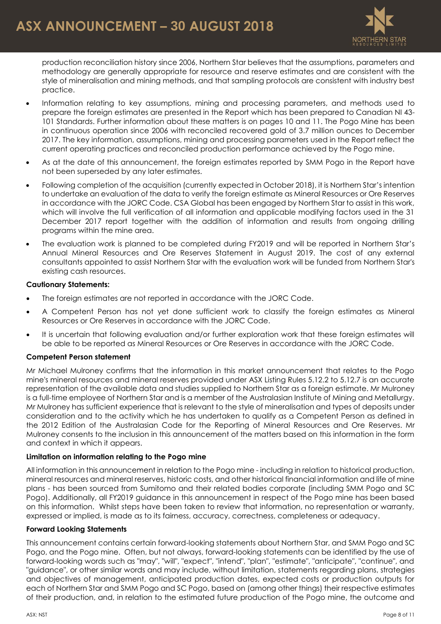

production reconciliation history since 2006, Northern Star believes that the assumptions, parameters and methodology are generally appropriate for resource and reserve estimates and are consistent with the style of mineralisation and mining methods, and that sampling protocols are consistent with industry best practice.

- Information relating to key assumptions, mining and processing parameters, and methods used to prepare the foreign estimates are presented in the Report which has been prepared to Canadian NI 43- 101 Standards. Further information about these matters is on pages 10 and 11. The Pogo Mine has been in continuous operation since 2006 with reconciled recovered gold of 3.7 million ounces to December 2017. The key information, assumptions, mining and processing parameters used in the Report reflect the current operating practices and reconciled production performance achieved by the Pogo mine.
- As at the date of this announcement, the foreign estimates reported by SMM Pogo in the Report have not been superseded by any later estimates.
- Following completion of the acquisition (currently expected in October 2018), it is Northern Star's intention to undertake an evaluation of the data to verify the foreign estimate as Mineral Resources or Ore Reserves in accordance with the JORC Code. CSA Global has been engaged by Northern Star to assist in this work, which will involve the full verification of all information and applicable modifying factors used in the 31 December 2017 report together with the addition of information and results from ongoing drilling programs within the mine area.
- The evaluation work is planned to be completed during FY2019 and will be reported in Northern Star's Annual Mineral Resources and Ore Reserves Statement in August 2019. The cost of any external consultants appointed to assist Northern Star with the evaluation work will be funded from Northern Star's existing cash resources.

#### **Cautionary Statements:**

- The foreign estimates are not reported in accordance with the JORC Code.
- A Competent Person has not yet done sufficient work to classify the foreign estimates as Mineral Resources or Ore Reserves in accordance with the JORC Code.
- It is uncertain that following evaluation and/or further exploration work that these foreign estimates will be able to be reported as Mineral Resources or Ore Reserves in accordance with the JORC Code.

#### **Competent Person statement**

Mr Michael Mulroney confirms that the information in this market announcement that relates to the Pogo mine's mineral resources and mineral reserves provided under ASX Listing Rules 5.12.2 to 5.12.7 is an accurate representation of the available data and studies supplied to Northern Star as a foreign estimate. Mr Mulroney is a full-time employee of Northern Star and is a member of the Australasian Institute of Mining and Metallurgy. Mr Mulroney has sufficient experience that is relevant to the style of mineralisation and types of deposits under consideration and to the activity which he has undertaken to qualify as a Competent Person as defined in the 2012 Edition of the Australasian Code for the Reporting of Mineral Resources and Ore Reserves. Mr Mulroney consents to the inclusion in this announcement of the matters based on this information in the form and context in which it appears.

#### **Limitation on information relating to the Pogo mine**

All information in this announcement in relation to the Pogo mine - including in relation to historical production, mineral resources and mineral reserves, historic costs, and other historical financial information and life of mine plans - has been sourced from Sumitomo and their related bodies corporate (including SMM Pogo and SC Pogo). Additionally, all FY2019 guidance in this announcement in respect of the Pogo mine has been based on this information. Whilst steps have been taken to review that information, no representation or warranty, expressed or implied, is made as to its fairness, accuracy, correctness, completeness or adequacy.

#### **Forward Looking Statements**

This announcement contains certain forward-looking statements about Northern Star, and SMM Pogo and SC Pogo, and the Pogo mine. Often, but not always, forward-looking statements can be identified by the use of forward-looking words such as "may", "will", "expect", "intend", "plan", "estimate", "anticipate", "continue", and "guidance", or other similar words and may include, without limitation, statements regarding plans, strategies and objectives of management, anticipated production dates, expected costs or production outputs for each of Northern Star and SMM Pogo and SC Pogo, based on (among other things) their respective estimates of their production, and, in relation to the estimated future production of the Pogo mine, the outcome and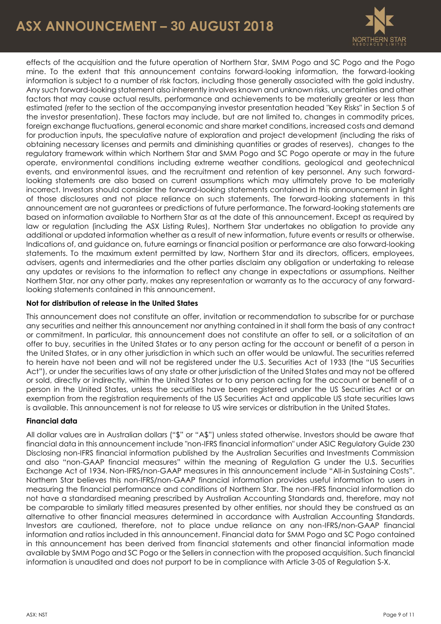# **ASX ANNOUNCEMENT – 30 AUGUST 2018**



effects of the acquisition and the future operation of Northern Star, SMM Pogo and SC Pogo and the Pogo mine. To the extent that this announcement contains forward-looking information, the forward-looking information is subject to a number of risk factors, including those generally associated with the gold industry. Any such forward-looking statement also inherently involves known and unknown risks, uncertainties and other factors that may cause actual results, performance and achievements to be materially greater or less than estimated (refer to the section of the accompanying investor presentation headed "Key Risks" in Section 5 of the investor presentation). These factors may include, but are not limited to, changes in commodity prices, foreign exchange fluctuations, general economic and share market conditions, increased costs and demand for production inputs, the speculative nature of exploration and project development (including the risks of obtaining necessary licenses and permits and diminishing quantities or grades of reserves), changes to the regulatory framework within which Northern Star and SMM Pogo and SC Pogo operate or may in the future operate, environmental conditions including extreme weather conditions, geological and geotechnical events, and environmental issues, and the recruitment and retention of key personnel. Any such forwardlooking statements are also based on current assumptions which may ultimately prove to be materially incorrect. Investors should consider the forward-looking statements contained in this announcement in light of those disclosures and not place reliance on such statements. The forward-looking statements in this announcement are not guarantees or predictions of future performance. The forward-looking statements are based on information available to Northern Star as at the date of this announcement. Except as required by law or regulation (including the ASX Listing Rules), Northern Star undertakes no obligation to provide any additional or updated information whether as a result of new information, future events or results or otherwise. Indications of, and guidance on, future earnings or financial position or performance are also forward-looking statements. To the maximum extent permitted by law, Northern Star and its directors, officers, employees, advisers, agents and intermediaries and the other parties disclaim any obligation or undertaking to release any updates or revisions to the information to reflect any change in expectations or assumptions. Neither Northern Star, nor any other party, makes any representation or warranty as to the accuracy of any forwardlooking statements contained in this announcement.

#### **Not for distribution of release in the United States**

This announcement does not constitute an offer, invitation or recommendation to subscribe for or purchase any securities and neither this announcement nor anything contained in it shall form the basis of any contract or commitment. In particular, this announcement does not constitute an offer to sell, or a solicitation of an offer to buy, securities in the United States or to any person acting for the account or benefit of a person in the United States, or in any other jurisdiction in which such an offer would be unlawful. The securities referred to herein have not been and will not be registered under the U.S. Securities Act of 1933 (the "US Securities Act"), or under the securities laws of any state or other jurisdiction of the United States and may not be offered or sold, directly or indirectly, within the United States or to any person acting for the account or benefit of a person in the United States, unless the securities have been registered under the US Securities Act or an exemption from the registration requirements of the US Securities Act and applicable US state securities laws is available. This announcement is not for release to US wire services or distribution in the United States.

#### **Financial data**

All dollar values are in Australian dollars ("\$" or "A\$") unless stated otherwise. Investors should be aware that financial data in this announcement include "non-IFRS financial information" under ASIC Regulatory Guide 230 Disclosing non-IFRS financial information published by the Australian Securities and Investments Commission and also "non-GAAP financial measures" within the meaning of Regulation G under the U.S. Securities Exchange Act of 1934. Non-IFRS/non-GAAP measures in this announcement include "All-in Sustaining Costs". Northern Star believes this non-IFRS/non-GAAP financial information provides useful information to users in measuring the financial performance and conditions of Northern Star. The non-IFRS financial information do not have a standardised meaning prescribed by Australian Accounting Standards and, therefore, may not be comparable to similarly titled measures presented by other entities, nor should they be construed as an alternative to other financial measures determined in accordance with Australian Accounting Standards. Investors are cautioned, therefore, not to place undue reliance on any non-IFRS/non-GAAP financial information and ratios included in this announcement. Financial data for SMM Pogo and SC Pogo contained in this announcement has been derived from financial statements and other financial information made available by SMM Pogo and SC Pogo or the Sellers in connection with the proposed acquisition. Such financial information is unaudited and does not purport to be in compliance with Article 3-05 of Regulation S-X.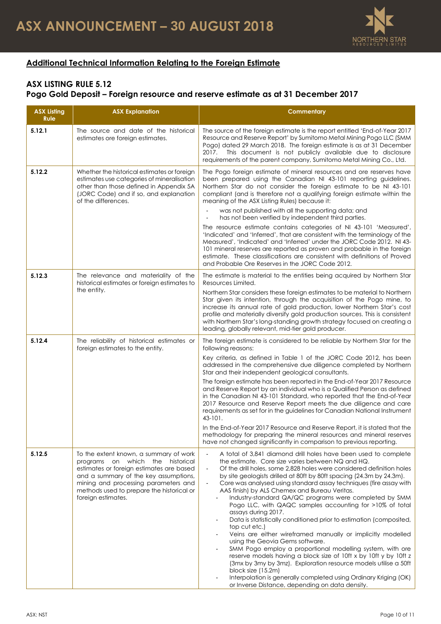

# **Additional Technical Information Relating to the Foreign Estimate**

# **ASX LISTING RULE 5.12 Pogo Gold Deposit – Foreign resource and reserve estimate as at 31 December 2017**

| <b>ASX Listing</b><br><b>Rule</b> | <b>ASX Explanation</b>                                                                                                                                                                                                                                                     | <b>Commentary</b>                                                                                                                                                                                                                                                                                                                                                                                                                                                                                                                                                                                                                                                                                                                                                                                                                                                                                                                                                                                                                                                                   |
|-----------------------------------|----------------------------------------------------------------------------------------------------------------------------------------------------------------------------------------------------------------------------------------------------------------------------|-------------------------------------------------------------------------------------------------------------------------------------------------------------------------------------------------------------------------------------------------------------------------------------------------------------------------------------------------------------------------------------------------------------------------------------------------------------------------------------------------------------------------------------------------------------------------------------------------------------------------------------------------------------------------------------------------------------------------------------------------------------------------------------------------------------------------------------------------------------------------------------------------------------------------------------------------------------------------------------------------------------------------------------------------------------------------------------|
| 5.12.1                            | The source and date of the historical<br>estimates ore foreign estimates.                                                                                                                                                                                                  | The source of the foreign estimate is the report entitled 'End-of-Year 2017<br>Resource and Reserve Report' by Sumitomo Metal Mining Pogo LLC (SMM<br>Pogo) dated 29 March 2018. The foreign estimate is as at 31 December<br>This document is not publicly available due to disclosure<br>2017.<br>requirements of the parent company, Sumitomo Metal Mining Co., Ltd.                                                                                                                                                                                                                                                                                                                                                                                                                                                                                                                                                                                                                                                                                                             |
| 5.12.2                            | Whether the historical estimates or foreign<br>estimates use categories of mineralisation<br>other than those defined in Appendix 5A<br>(JORC Code) and if so, and explanation<br>of the differences.                                                                      | The Pogo foreign estimate of mineral resources and ore reserves have<br>been prepared using the Canadian NI 43-101 reporting guidelines.<br>Northern Star do not consider the foreign estimate to be NI 43-101<br>compliant (and is therefore not a qualifying foreign estimate within the<br>meaning of the ASX Listing Rules) because it:<br>was not published with all the supporting data; and<br>has not been verified by independent third parties.<br>The resource estimate contains categories of NI 43-101 'Measured',<br>'Indicated' and 'Inferred', that are consistent with the terminology of the<br>Measured', 'Indicated' and 'Inferred' under the JORC Code 2012. NI 43-<br>101 mineral reserves are reported as proven and probable in the foreign<br>estimate. These classifications are consistent with definitions of Proved<br>and Probable Ore Reserves in the JORC Code 2012.                                                                                                                                                                                |
| 5.12.3                            | The relevance and materiality of the<br>historical estimates or foreign estimates to<br>the entity.                                                                                                                                                                        | The estimate is material to the entities being acquired by Northern Star<br>Resources Limited.<br>Northern Star considers these foreign estimates to be material to Northern<br>Star given its intention, through the acquisition of the Pogo mine, to<br>increase its annual rate of gold production, lower Northern Star's cost<br>profile and materially diversify gold production sources. This is consistent<br>with Northern Star's long-standing growth strategy focused on creating a<br>leading, globally relevant, mid-tier gold producer.                                                                                                                                                                                                                                                                                                                                                                                                                                                                                                                                |
| 5.12.4                            | The reliability of historical estimates or<br>foreign estimates to the entity.                                                                                                                                                                                             | The foreign estimate is considered to be reliable by Northern Star for the<br>following reasons:<br>Key criteria, as defined in Table 1 of the JORC Code 2012, has been<br>addressed in the comprehensive due diligence completed by Northern<br>Star and their independent geological consultants.<br>The foreign estimate has been reported in the End-of-Year 2017 Resource<br>and Reserve Report by an individual who is a Qualified Person as defined<br>in the Canadian NI 43-101 Standard, who reported that the End-of-Year<br>2017 Resource and Reserve Report meets the due diligence and care<br>requirements as set for in the guidelines for Canadian National Instrument<br>43-101.<br>In the End-of-Year 2017 Resource and Reserve Report, it is stated that the<br>methodology for preparing the mineral resources and mineral reserves<br>have not changed significantly in comparison to previous reporting.                                                                                                                                                      |
| 5.12.5                            | To the extent known, a summary of work<br>programs on which the historical<br>estimates or foreign estimates are based<br>and a summary of the key assumptions,<br>mining and processing parameters and<br>methods used to prepare the historical or<br>foreign estimates. | A total of 3,841 diamond drill holes have been used to complete<br>the estimate. Core size varies between NQ and HQ.<br>Of the drill holes, some 2,828 holes were considered definition holes<br>by site geologists drilled at 80ft by 80ft spacing (24.3m by 24.3m).<br>Core was analysed using standard assay techniques (fire assay with<br>AAS finish) by ALS Chemex and Bureau Veritas.<br>Industry-standard QA/QC programs were completed by SMM<br>Pogo LLC, with QAQC samples accounting for >10% of total<br>assays during 2017.<br>Data is statistically conditioned prior to estimation (composited,<br>top cut etc.)<br>Veins are either wireframed manually or implicitly modelled<br>using the Geovia Gems software.<br>SMM Pogo employ a proportional modelling system, with ore<br>reserve models having a block size of 10ft x by 10ft y by 10ft z<br>(3mx by 3my by 3mz). Exploration resource models utilise a 50ft<br>block size (15.2m)<br>Interpolation is generally completed using Ordinary Kriging (OK)<br>or Inverse Distance, depending on data density. |